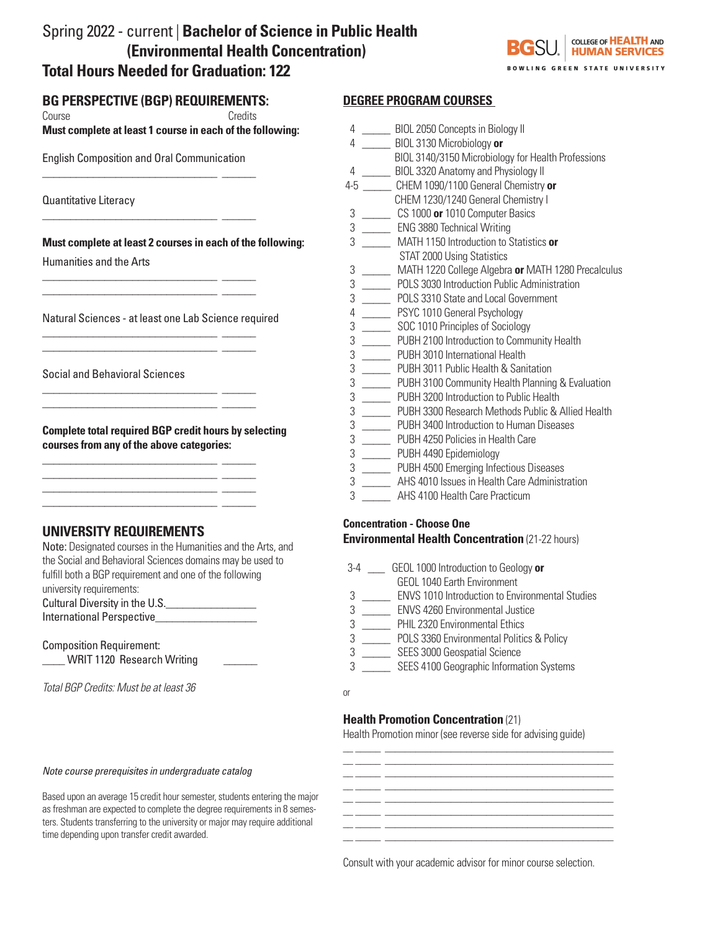# Spring 2022 - current | **Bachelor of Science in Public Health (Environmental Health Concentration) Total Hours Needed for Graduation: 122**



## **BG PERSPECTIVE (BGP) REQUIREMENTS:**

Course Credits **Must complete at least 1 course in each of the following:** 

English Composition and Oral Communication \_\_\_\_\_\_\_\_\_\_\_\_\_\_\_\_\_\_\_\_\_\_\_\_\_\_\_\_\_\_\_ \_\_\_\_\_\_

Quantitative Literacy

**Must complete at least 2 courses in each of the following:** Humanities and the Arts

Natural Sciences - at least one Lab Science required

\_\_\_\_\_\_\_\_\_\_\_\_\_\_\_\_\_\_\_\_\_\_\_\_\_\_\_\_\_\_\_ \_\_\_\_\_\_ \_\_\_\_\_\_\_\_\_\_\_\_\_\_\_\_\_\_\_\_\_\_\_\_\_\_\_\_\_\_\_ \_\_\_\_\_\_

\_\_\_\_\_\_\_\_\_\_\_\_\_\_\_\_\_\_\_\_\_\_\_\_\_\_\_\_\_\_\_ \_\_\_\_\_\_  $\frac{1}{\sqrt{2}}$  ,  $\frac{1}{\sqrt{2}}$  ,  $\frac{1}{\sqrt{2}}$  ,  $\frac{1}{\sqrt{2}}$  ,  $\frac{1}{\sqrt{2}}$  ,  $\frac{1}{\sqrt{2}}$  ,  $\frac{1}{\sqrt{2}}$  ,  $\frac{1}{\sqrt{2}}$  ,  $\frac{1}{\sqrt{2}}$  ,  $\frac{1}{\sqrt{2}}$  ,  $\frac{1}{\sqrt{2}}$  ,  $\frac{1}{\sqrt{2}}$  ,  $\frac{1}{\sqrt{2}}$  ,  $\frac{1}{\sqrt{2}}$  ,  $\frac{1}{\sqrt{2}}$ 

\_\_\_\_\_\_\_\_\_\_\_\_\_\_\_\_\_\_\_\_\_\_\_\_\_\_\_\_\_\_\_ \_\_\_\_\_\_ \_\_\_\_\_\_\_\_\_\_\_\_\_\_\_\_\_\_\_\_\_\_\_\_\_\_\_\_\_\_\_ \_\_\_\_\_\_

\_\_\_\_\_\_\_\_\_\_\_\_\_\_\_\_\_\_\_\_\_\_\_\_\_\_\_\_\_\_\_ \_\_\_\_\_\_  $\frac{1}{2}$  ,  $\frac{1}{2}$  ,  $\frac{1}{2}$  ,  $\frac{1}{2}$  ,  $\frac{1}{2}$  ,  $\frac{1}{2}$  ,  $\frac{1}{2}$  ,  $\frac{1}{2}$  ,  $\frac{1}{2}$  ,  $\frac{1}{2}$  ,  $\frac{1}{2}$  ,  $\frac{1}{2}$  ,  $\frac{1}{2}$  ,  $\frac{1}{2}$  ,  $\frac{1}{2}$  ,  $\frac{1}{2}$  ,  $\frac{1}{2}$  ,  $\frac{1}{2}$  ,  $\frac{1$ \_\_\_\_\_\_\_\_\_\_\_\_\_\_\_\_\_\_\_\_\_\_\_\_\_\_\_\_\_\_\_ \_\_\_\_\_\_ \_\_\_\_\_\_\_\_\_\_\_\_\_\_\_\_\_\_\_\_\_\_\_\_\_\_\_\_\_\_\_ \_\_\_\_\_\_

Social and Behavioral Sciences

**Complete total required BGP credit hours by selecting courses from any of the above categories:**

## **UNIVERSITY REQUIREMENTS**

Note: Designated courses in the Humanities and the Arts, and the Social and Behavioral Sciences domains may be used to fulfill both a BGP requirement and one of the following university requirements: Cultural Diversity in the U.S.

International Perspective\_\_\_\_\_\_\_\_\_\_\_\_\_\_\_\_\_\_

Composition Requirement: \_\_\_\_ WRIT 1120 Research Writing \_\_\_\_\_\_

*Total BGP Credits: Must be at least 36*

#### *Note course prerequisites in undergraduate catalog*

Based upon an average 15 credit hour semester, students entering the major as freshman are expected to complete the degree requirements in 8 semesters. Students transferring to the university or major may require additional time depending upon transfer credit awarded.

### **DEGREE PROGRAM COURSES**

|   | $4 \quad \qquad$             | BIOL 2050 Concepts in Biology II                           |
|---|------------------------------|------------------------------------------------------------|
|   | $4\overline{ }$              | BIOL 3130 Microbiology or                                  |
|   |                              | BIOL 3140/3150 Microbiology for Health Professions         |
| 4 |                              | BIOL 3320 Anatomy and Physiology II                        |
|   |                              | 4-5 ______ CHEM 1090/1100 General Chemistry or             |
|   |                              | CHEM 1230/1240 General Chemistry I                         |
|   | $3 \overline{\phantom{1}}$   | CS 1000 or 1010 Computer Basics                            |
| 3 |                              | ENG 3880 Technical Writing                                 |
| 3 |                              | MATH 1150 Introduction to Statistics or                    |
|   |                              | STAT 2000 Using Statistics                                 |
| 3 |                              | MATH 1220 College Algebra or MATH 1280 Precalculus         |
|   | $3 \overline{3}$             | POLS 3030 Introduction Public Administration               |
| 3 |                              | POLS 3310 State and Local Government                       |
| 4 |                              | PSYC 1010 General Psychology                               |
|   | $3 \underline{\hspace{1cm}}$ | SOC 1010 Principles of Sociology                           |
| 3 |                              | PUBH 2100 Introduction to Community Health                 |
| 3 |                              | PUBH 3010 International Health                             |
|   | $3 \underline{\hspace{1cm}}$ | PUBH 3011 Public Health & Sanitation                       |
|   | $3 \quad \qquad$             | PUBH 3100 Community Health Planning & Evaluation           |
| 3 |                              | PUBH 3200 Introduction to Public Health                    |
|   |                              | 3 ______ PUBH 3300 Research Methods Public & Allied Health |
| 3 |                              | PUBH 3400 Introduction to Human Diseases                   |
|   | $3 \quad \qquad$             | PUBH 4250 Policies in Health Care                          |
|   |                              | PUBH 4490 Epidemiology                                     |
|   |                              | 3 ______ PUBH 4500 Emerging Infectious Diseases            |
|   |                              | 3 _______ AHS 4010 Issues in Health Care Administration    |
| 3 |                              | AHS 4100 Health Care Practicum                             |
|   |                              |                                                            |

### **Concentration - Choose One Environmental Health Concentration** (21-22 hours)

- 3-4 \_\_\_ GEOL 1000 Introduction to Geology **or**
- GEOL 1040 Earth Environment
- 3 \_\_\_\_\_ ENVS 1010 Introduction to Environmental Studies
- 3 \_\_\_\_\_ ENVS 4260 Environmental Justice
- 3 \_\_\_\_\_ PHIL 2320 Environmental Ethics
- 3 \_\_\_\_\_ POLS 3360 Environmental Politics & Policy
- 3 \_\_\_\_\_ SEES 3000 Geospatial Science
- 3 \_\_\_\_\_ SEES 4100 Geographic Information Systems

#### or

#### **Health Promotion Concentration** (21)

Health Promotion minor (see reverse side for advising guide)

Consult with your academic advisor for minor course selection.